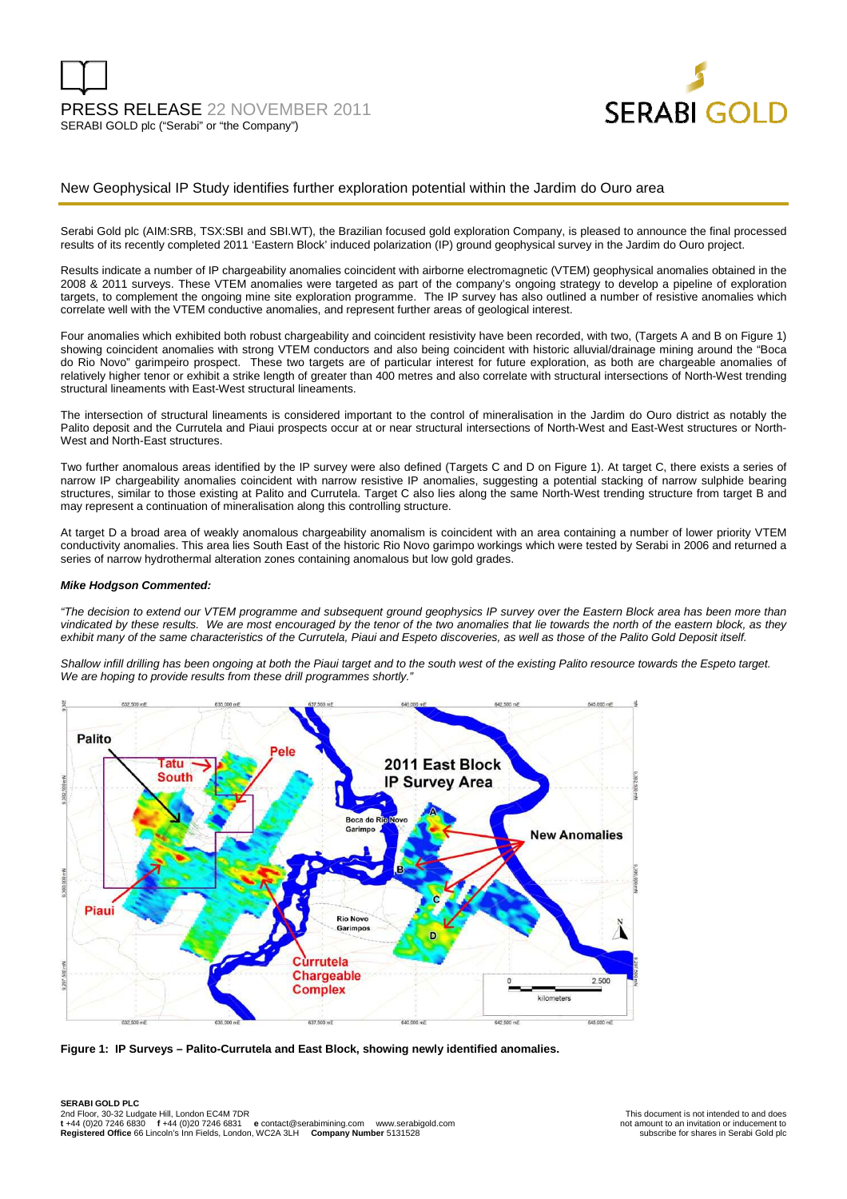

#### New Geophysical IP Study identifies further exploration potential within the Jardim do Ouro area

Serabi Gold plc (AIM:SRB, TSX:SBI and SBI.WT), the Brazilian focused gold exploration Company, is pleased to announce the final processed results of its recently completed 2011 'Eastern Block' induced polarization (IP) ground geophysical survey in the Jardim do Ouro project.

Results indicate a number of IP chargeability anomalies coincident with airborne electromagnetic (VTEM) geophysical anomalies obtained in the 2008 & 2011 surveys. These VTEM anomalies were targeted as part of the company's ongoing strategy to develop a pipeline of exploration targets, to complement the ongoing mine site exploration programme. The IP survey has also outlined a number of resistive anomalies which correlate well with the VTEM conductive anomalies, and represent further areas of geological interest.

Four anomalies which exhibited both robust chargeability and coincident resistivity have been recorded, with two, (Targets A and B on Figure 1) showing coincident anomalies with strong VTEM conductors and also being coincident with historic alluvial/drainage mining around the "Boca do Rio Novo" garimpeiro prospect. These two targets are of particular interest for future exploration, as both are chargeable anomalies of relatively higher tenor or exhibit a strike length of greater than 400 metres and also correlate with structural intersections of North-West trending structural lineaments with East-West structural lineaments.

The intersection of structural lineaments is considered important to the control of mineralisation in the Jardim do Ouro district as notably the Palito deposit and the Currutela and Piaui prospects occur at or near structural intersections of North-West and East-West structures or North-West and North-East structures.

Two further anomalous areas identified by the IP survey were also defined (Targets C and D on Figure 1). At target C, there exists a series of narrow IP chargeability anomalies coincident with narrow resistive IP anomalies, suggesting a potential stacking of narrow sulphide bearing structures, similar to those existing at Palito and Currutela. Target C also lies along the same North-West trending structure from target B and may represent a continuation of mineralisation along this controlling structure.

At target D a broad area of weakly anomalous chargeability anomalism is coincident with an area containing a number of lower priority VTEM conductivity anomalies. This area lies South East of the historic Rio Novo garimpo workings which were tested by Serabi in 2006 and returned a series of narrow hydrothermal alteration zones containing anomalous but low gold grades.

#### **Mike Hodgson Commented:**

"The decision to extend our VTEM programme and subsequent ground geophysics IP survey over the Eastern Block area has been more than vindicated by these results. We are most encouraged by the tenor of the two anomalies that lie towards the north of the eastern block, as they exhibit many of the same characteristics of the Currutela, Piaui and Espeto discoveries, as well as those of the Palito Gold Deposit itself.

Shallow infill drilling has been ongoing at both the Piaui target and to the south west of the existing Palito resource towards the Espeto target. We are hoping to provide results from these drill programmes shortly.'